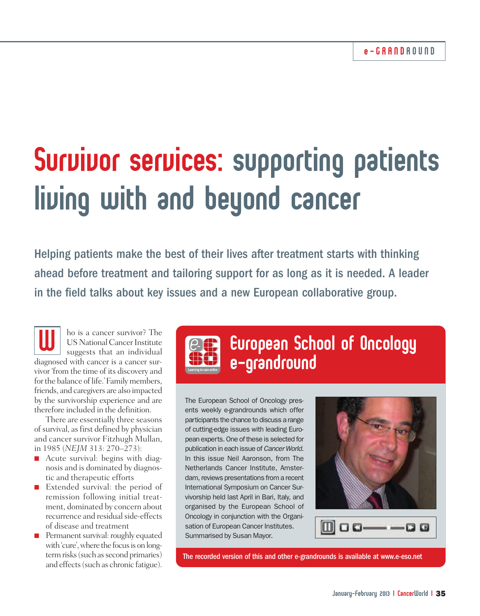# Survivor services: supporting patients living with and beyond cancer

Helping patients make the best of their lives after treatment starts with thinking ahead before treatment and tailoring support for as long as it is needed. A leader in the field talks about key issues and a new European collaborative group.

ho is a cancer survivor? The US National Cancer Institute suggests that an individual **diagnosed** with cancer survivor? The US National Cancer Institute suggests that an individual diagnosed with cancer is a cancer survivor 'from the time of its discovery and for the balance of life.' Family members, friends, and caregivers are also impacted by the survivorship experience and are therefore included in the definition.

There are essentially three seasons of survival, as first defined by physician and cancer survivor Fitzhugh Mullan, in 1985 (*NEJM* 313: 270–273):

- Acute survival: begins with diagnosis and is dominated by diagnostic and therapeutic efforts
- Extended survival: the period of remission following initial treatment, dominated by concern about recurrence and residual side-effects of disease and treatment
- **Permanent survival: roughly equated** with 'cure', where the focus is on longterm risks (such as second primaries) and effects(such as chronic fatigue).



# European School of Oncology e-grandround

The European School of Oncology presents weekly e-grandrounds which offer participants the chance to discuss a range of cutting-edge issues with leading European experts. One of these is selected for publication in each issue of*Cancer World*. In this issue Neil Aaronson, from The Netherlands Cancer Institute, Amsterdam, reviews presentations from a recent International Symposium on Cancer Survivorship held last April in Bari, Italy, and organised by the European School of Oncology in conjunction with the Organisation of European Cancer Institutes. Summarised by Susan Mayor.



 $OO 0$  $0$ 

The recorded version of this and other e-grandrounds is available at www.e-eso.net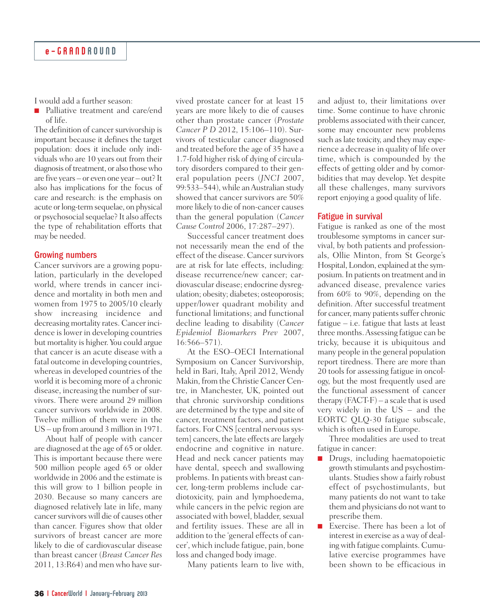I would add a further season:

■ Palliative treatment and care/end of life.

The definition of cancer survivorship is important because it defines the target population: does it include only individuals who are 10 years out from their diagnosis of treatment, or also those who are five years – or even one year – out? It also has implications for the focus of care and research: is the emphasis on acute orlong-termsequelae, on physical or psychosocial sequelae? It also affects the type of rehabilitation efforts that may be needed.

#### Growing numbers

Cancer survivors are a growing population, particularly in the developed world, where trends in cancer incidence and mortality in both men and women from 1975 to 2005/10 clearly show increasing incidence and decreasing mortality rates. Cancer incidence is lower in developing countries but mortality is higher. You could argue that cancer is an acute disease with a fatal outcome in developing countries, whereas in developed countries of the world it is becoming more of a chronic disease, increasing the number of survivors. There were around 29 million cancer survivors worldwide in 2008. Twelve million of them were in the US – up from around 3 million in 1971.

About half of people with cancer are diagnosed at the age of 65 or older. This is important because there were 500 million people aged 65 or older worldwide in 2006 and the estimate is this will grow to 1 billion people in 2030. Because so many cancers are diagnosed relatively late in life, many cancer survivors will die of causes other than cancer. Figures show that older survivors of breast cancer are more likely to die of cardiovascular disease than breast cancer (*Breast Cancer Res* 2011, 13:R64) and men who have survived prostate cancer for at least 15 years are more likely to die of causes other than prostate cancer (*Prostate Cancer P D* 2012, 15:106–110). Survivors of testicular cancer diagnosed and treated before the age of 35 have a 1.7-fold higher risk of dying of circulatory disorders compared to their general population peers (*JNCI* 2007, 99:533–544), while an Australian study showed that cancer survivors are 50% more likely to die of non-cancer causes than the general population (*Cancer Cause Control* 2006, 17:287–297).

Successful cancer treatment does not necessarily mean the end of the effect of the disease. Cancer survivors are at risk for late effects, including: disease recurrence/new cancer; cardiovascular disease; endocrine dysregulation; obesity; diabetes; osteoporosis; upper/lower quadrant mobility and functional limitations; and functional decline leading to disability (*Cancer Epidemiol Biomarkers Prev* 2007, 16:566–571).

At the ESO–OECI International Symposium on Cancer Survivorship, held in Bari, Italy, April 2012, Wendy Makin, from the Christie Cancer Centre, in Manchester, UK, pointed out that chronic survivorship conditions are determined by the type and site of cancer, treatment factors, and patient factors. For CNS [central nervous system] cancers, the late effects are largely endocrine and cognitive in nature. Head and neck cancer patients may have dental, speech and swallowing problems. In patients with breast cancer, long-term problems include cardiotoxicity, pain and lymphoedema, while cancers in the pelvic region are associated with bowel, bladder, sexual and fertility issues. These are all in addition to the 'general effects of cancer', which include fatigue, pain, bone loss and changed body image.

Many patients learn to live with,

and adjust to, their limitations over time. Some continue to have chronic problems associated with their cancer, some may encounter new problems such aslate toxicity, and they may experience a decrease in quality of life over time, which is compounded by the effects of getting older and by comorbidities that may develop. Yet despite all these challenges, many survivors report enjoying a good quality of life.

## Fatigue in survival

Fatigue is ranked as one of the most troublesome symptoms in cancer survival, by both patients and professionals, Ollie Minton, from St George's Hospital, London, explained at the symposium.In patients on treatment and in advanced disease, prevalence varies from 60% to 90%, depending on the definition. After successful treatment for cancer, many patients suffer chronic fatigue – i.e. fatigue that lasts at least three months.Assessing fatigue can be tricky, because it is ubiquitous and many people in the general population report tiredness. There are more than 20 tools for assessing fatigue in oncology, but the most frequently used are the functional assessment of cancer therapy (FACT-F) – a scale that is used very widely in the US – and the EORTC QLQ-30 fatigue subscale, which is often used in Europe.

Three modalities are used to treat fatigue in cancer:

- Drugs, including haematopoietic growth stimulants and psychostimulants. Studies show a fairly robust effect of psychostimulants, but many patients do not want to take them and physicians do not want to prescribe them.
- Exercise. There has been a lot of interest in exercise as a way of dealing with fatigue complaints. Cumulative exercise programmes have been shown to be efficacious in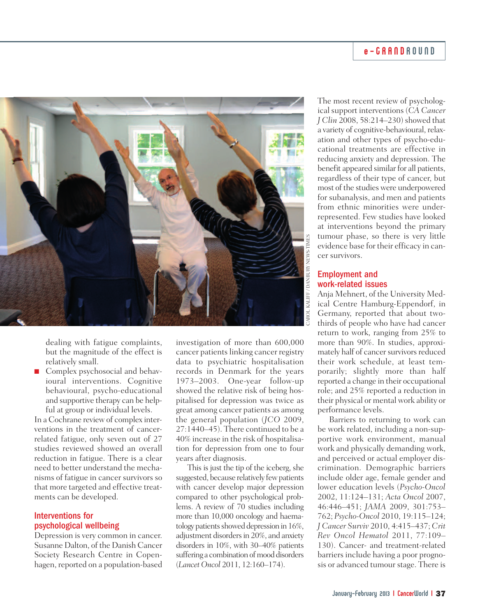# e-G RANDROUND



dealing with fatigue complaints, but the magnitude of the effect is relatively small.

■ Complex psychosocial and behavioural interventions. Cognitive behavioural, psycho-educational and supportive therapy can be helpful at group or individual levels.

In a Cochrane review of complex interventions in the treatment of cancerrelated fatigue, only seven out of 27 studies reviewed showed an overall reduction in fatigue. There is a clear need to better understand the mechanisms of fatigue in cancer survivors so that more targeted and effective treatments can be developed.

#### Interventions for psychological wellbeing

Depression is very common in cancer. Susanne Dalton, of the Danish Cancer Society Research Centre in Copenhagen, reported on a population-based

investigation of more than 600,000 cancer patients linking cancer registry data to psychiatric hospitalisation records in Denmark for the years 1973–2003. One-year follow-up showed the relative risk of being hospitalised for depression was twice as great among cancer patients as among the general population (*JCO* 2009, 27:1440–45). There continued to be a 40% increase in the risk of hospitalisation for depression from one to four years after diagnosis.

This is just the tip of the iceberg, she suggested, because relatively fewpatients with cancer develop major depression compared to other psychological problems. A review of 70 studies including more than 10,000 oncology and haematology patients showed depression in 16%, adjustment disordersin 20%, and anxiety disorders in 10%, with 30–40% patients suffering a combination of mood disorders (*Lancet Oncol* 2011, 12:160–174).

The most recent review of psychological support interventions (CA Cancer *J Clin* 2008, 58:214–230) showed that a variety of cognitive-behavioural, relaxation and other types of psycho-educational treatments are effective in reducing anxiety and depression. The benefit appeared similar for all patients, regardless of their type of cancer, but most of the studies were underpowered for subanalysis, and men and patients from ethnic minorities were underrepresented. Few studies have looked at interventions beyond the primary tumour phase, so there is very little evidence base for their efficacy in cancer survivors.

# Employment and work-related issues

Anja Mehnert, of the University Medical Centre Hamburg-Eppendorf, in Germany, reported that about twothirds of people who have had cancer return to work, ranging from 25% to more than 90%. In studies, approximately half of cancer survivors reduced their work schedule, at least temporarily; slightly more than half reported a change in their occupational role; and 25% reported a reduction in their physical or mental work ability or performance levels.

Barriers to returning to work can be work related, including a non-supportive work environment, manual work and physically demanding work, and perceived or actual employer discrimination. Demographic barriers include older age, female gender and lower education levels (*Psycho-Oncol* 2002, 11:124–131; *Acta Oncol* 2007, 46:446–451; *JAMA* 2009, 301:753– 762; *Psycho-Oncol* 2010, 19:115–124; *J Cancer Surviv* 2010, 4:415–437; *Crit Rev Oncol Hematol* 2011, 77:109– 130). Cancer- and treatment-related barriers include having a poor prognosis or advanced tumour stage. There is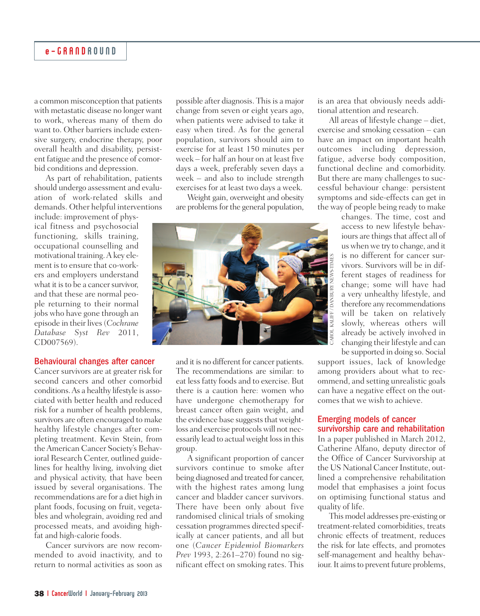# e -GRAND ROUND

a common misconception that patients with metastatic disease no longer want to work, whereas many of them do want to. Other barriers include extensive surgery, endocrine therapy, poor overall health and disability, persistent fatigue and the presence of comorbid conditions and depression.

As part of rehabilitation, patients should undergo assessment and evaluation of work-related skills and demands. Other helpful interventions

include: improvement of physical fitness and psychosocial functioning, skills training, occupational counselling and motivational training.A key element is to ensure that co-workers and employers understand what it is to be a cancer survivor, and that these are normal people returning to their normal jobs who have gone through an episode in their lives(*Cochrane Database Syst Rev* 2011, CD007569).

## Behavioural changes after cancer

Cancer survivors are at greater risk for second cancers and other comorbid conditions.As a healthy lifestyle is associated with better health and reduced risk for a number of health problems, survivors are often encouraged to make healthy lifestyle changes after completing treatment. Kevin Stein, from theAmerican Cancer Society's Behavioral Research Center, outlined guidelines for healthy living, involving diet and physical activity, that have been issued by several organisations. The recommendations are for a diet high in plant foods, focusing on fruit, vegetables and wholegrain, avoiding red and processed meats, and avoiding highfat and high-calorie foods.

Cancer survivors are now recommended to avoid inactivity, and to return to normal activities as soon as

possible after diagnosis. This is a major change from seven or eight years ago, when patients were advised to take it easy when tired. As for the general population, survivors should aim to exercise for at least 150 minutes per week – for half an hour on at least five days a week, preferably seven days a week – and also to include strength exercises for at least two days a week.

Weight gain, overweight and obesity are problems for the general population,



and it is no different for cancer patients. The recommendations are similar: to eat less fatty foods and to exercise. But there is a caution here: women who have undergone chemotherapy for breast cancer often gain weight, and the evidence base suggests that weightloss and exercise protocolswill not necessarily lead to actual weight loss in this group.

A significant proportion of cancer survivors continue to smoke after being diagnosed and treated for cancer, with the highest rates among lung cancer and bladder cancer survivors. There have been only about five randomised clinical trials of smoking cessation programmes directed specifically at cancer patients, and all but one (*Cancer Epidemiol Biomarkers Prev* 1993, 2:261–270) found no significant effect on smoking rates. This

is an area that obviously needs additional attention and research.

All areas of lifestyle change – diet, exercise and smoking cessation – can have an impact on important health outcomes including depression, fatigue, adverse body composition, functional decline and comorbidity. But there are many challenges to successful behaviour change: persistent symptoms and side-effects can get in the way of people being ready to make

> changes. The time, cost and access to new lifestyle behaviours are things that affect all of us when we try to change, and it is no different for cancer survivors. Survivors will be in different stages of readiness for change; some will have had a very unhealthy lifestyle, and therefore any recommendations will be taken on relatively slowly, whereas others will already be actively involved in changing their lifestyle and can be supported in doing so. Social

support issues, lack of knowledge among providers about what to recommend, and setting unrealistic goals can have a negative effect on the outcomes that we wish to achieve.

#### Emerging models of cancer survivorship care and rehabilitation

In a paper published in March 2012, Catherine Alfano, deputy director of the Office of Cancer Survivorship at the US National Cancer Institute, outlined a comprehensive rehabilitation model that emphasises a joint focus on optimising functional status and quality of life.

Thismodel addresses pre-existing or treatment-related comorbidities, treats chronic effects of treatment, reduces the risk for late effects, and promotes self-management and healthy behaviour. It aims to prevent future problems,